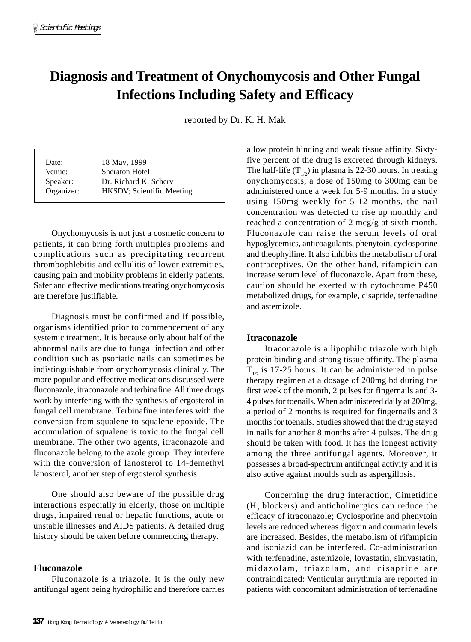# **Diagnosis and Treatment of Onychomycosis and Other Fungal Infections Including Safety and Efficacy**

reported by Dr. K. H. Mak

| Date:      | 18 May, 1999                      |
|------------|-----------------------------------|
| Venue:     | <b>Sheraton Hotel</b>             |
| Speaker:   | Dr. Richard K. Scherv             |
| Organizer: | <b>HKSDV</b> ; Scientific Meeting |

Onychomycosis is not just a cosmetic concern to patients, it can bring forth multiples problems and complications such as precipitating recurrent thrombophlebitis and cellulitis of lower extremities, causing pain and mobility problems in elderly patients. Safer and effective medications treating onychomycosis are therefore justifiable.

Diagnosis must be confirmed and if possible, organisms identified prior to commencement of any systemic treatment. It is because only about half of the abnormal nails are due to fungal infection and other condition such as psoriatic nails can sometimes be indistinguishable from onychomycosis clinically. The more popular and effective medications discussed were fluconazole, itraconazole and terbinafine. All three drugs work by interfering with the synthesis of ergosterol in fungal cell membrane. Terbinafine interferes with the conversion from squalene to squalene epoxide. The accumulation of squalene is toxic to the fungal cell membrane. The other two agents, itraconazole and fluconazole belong to the azole group. They interfere with the conversion of lanosterol to 14-demethyl lanosterol, another step of ergosterol synthesis.

One should also beware of the possible drug interactions especially in elderly, those on multiple drugs, impaired renal or hepatic functions, acute or unstable illnesses and AIDS patients. A detailed drug history should be taken before commencing therapy.

## **Fluconazole**

Fluconazole is a triazole. It is the only new antifungal agent being hydrophilic and therefore carries a low protein binding and weak tissue affinity. Sixtyfive percent of the drug is excreted through kidneys. The half-life  $(T_{1/2})$  in plasma is 22-30 hours. In treating onychomycosis, a dose of 150mg to 300mg can be administered once a week for 5-9 months. In a study using 150mg weekly for 5-12 months, the nail concentration was detected to rise up monthly and reached a concentration of 2 mcg/g at sixth month. Fluconazole can raise the serum levels of oral hypoglycemics, anticoagulants, phenytoin, cyclosporine and theophylline. It also inhibits the metabolism of oral contraceptives. On the other hand, rifampicin can increase serum level of fluconazole. Apart from these, caution should be exerted with cytochrome P450 metabolized drugs, for example, cisapride, terfenadine and astemizole.

## **Itraconazole**

Itraconazole is a lipophilic triazole with high protein binding and strong tissue affinity. The plasma  $T_{1/2}$  is 17-25 hours. It can be administered in pulse therapy regimen at a dosage of 200mg bd during the first week of the month, 2 pulses for fingernails and 3- 4 pulses for toenails. When administered daily at 200mg, a period of 2 months is required for fingernails and 3 months for toenails. Studies showed that the drug stayed in nails for another 8 months after 4 pulses. The drug should be taken with food. It has the longest activity among the three antifungal agents. Moreover, it possesses a broad-spectrum antifungal activity and it is also active against moulds such as aspergillosis.

Concerning the drug interaction, Cimetidine  $(H_2)$  blockers) and anticholinergics can reduce the efficacy of itraconazole; Cyclosporine and phenytoin levels are reduced whereas digoxin and coumarin levels are increased. Besides, the metabolism of rifampicin and isoniazid can be interfered. Co-administration with terfenadine, astemizole, lovastatin, simvastatin, midazolam, triazolam, and cisapride are contraindicated: Venticular arrythmia are reported in patients with concomitant administration of terfenadine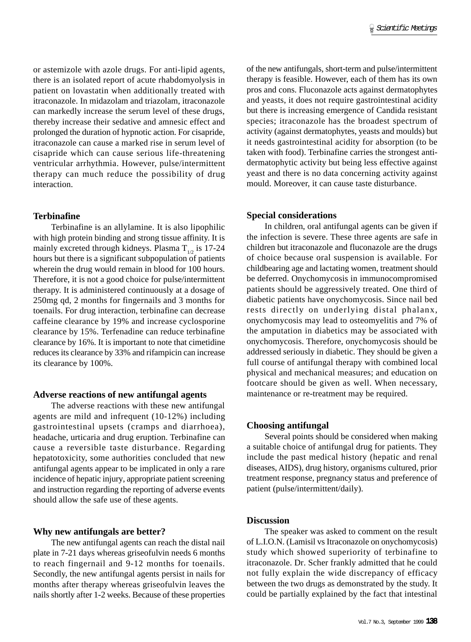or astemizole with azole drugs. For anti-lipid agents, there is an isolated report of acute rhabdomyolysis in patient on lovastatin when additionally treated with itraconazole. In midazolam and triazolam, itraconazole can markedly increase the serum level of these drugs, thereby increase their sedative and amnesic effect and prolonged the duration of hypnotic action. For cisapride, itraconazole can cause a marked rise in serum level of cisapride which can cause serious life-threatening ventricular arrhythmia. However, pulse/intermittent therapy can much reduce the possibility of drug interaction.

## **Terbinafine**

Terbinafine is an allylamine. It is also lipophilic with high protein binding and strong tissue affinity. It is mainly excreted through kidneys. Plasma  $T_{1/2}$  is 17-24 hours but there is a significant subpopulation of patients wherein the drug would remain in blood for 100 hours. Therefore, it is not a good choice for pulse/intermittent therapy. It is administered continuously at a dosage of 250mg qd, 2 months for fingernails and 3 months for toenails. For drug interaction, terbinafine can decrease caffeine clearance by 19% and increase cyclosporine clearance by 15%. Terfenadine can reduce terbinafine clearance by 16%. It is important to note that cimetidine reduces its clearance by 33% and rifampicin can increase its clearance by 100%.

#### **Adverse reactions of new antifungal agents**

The adverse reactions with these new antifungal agents are mild and infrequent (10-12%) including gastrointestinal upsets (cramps and diarrhoea), headache, urticaria and drug eruption. Terbinafine can cause a reversible taste disturbance. Regarding hepatotoxicity, some authorities concluded that new antifungal agents appear to be implicated in only a rare incidence of hepatic injury, appropriate patient screening and instruction regarding the reporting of adverse events should allow the safe use of these agents.

### **Why new antifungals are better?**

The new antifungal agents can reach the distal nail plate in 7-21 days whereas griseofulvin needs 6 months to reach fingernail and 9-12 months for toenails. Secondly, the new antifungal agents persist in nails for months after therapy whereas griseofulvin leaves the nails shortly after 1-2 weeks. Because of these properties of the new antifungals, short-term and pulse/intermittent therapy is feasible. However, each of them has its own pros and cons. Fluconazole acts against dermatophytes and yeasts, it does not require gastrointestinal acidity but there is increasing emergence of Candida resistant species; itraconazole has the broadest spectrum of activity (against dermatophytes, yeasts and moulds) but it needs gastrointestinal acidity for absorption (to be taken with food). Terbinafine carries the strongest antidermatophytic activity but being less effective against yeast and there is no data concerning activity against mould. Moreover, it can cause taste disturbance.

#### **Special considerations**

In children, oral antifungal agents can be given if the infection is severe. These three agents are safe in children but itraconazole and fluconazole are the drugs of choice because oral suspension is available. For childbearing age and lactating women, treatment should be deferred. Onychomycosis in immunocompromised patients should be aggressively treated. One third of diabetic patients have onychomycosis. Since nail bed rests directly on underlying distal phalanx, onychomycosis may lead to osteomyelitis and 7% of the amputation in diabetics may be associated with onychomycosis. Therefore, onychomycosis should be addressed seriously in diabetic. They should be given a full course of antifungal therapy with combined local physical and mechanical measures; and education on footcare should be given as well. When necessary, maintenance or re-treatment may be required.

#### **Choosing antifungal**

Several points should be considered when making a suitable choice of antifungal drug for patients. They include the past medical history (hepatic and renal diseases, AIDS), drug history, organisms cultured, prior treatment response, pregnancy status and preference of patient (pulse/intermittent/daily).

#### **Discussion**

The speaker was asked to comment on the result of L.I.O.N. (Lamisil vs Itraconazole on onychomycosis) study which showed superiority of terbinafine to itraconazole. Dr. Scher frankly admitted that he could not fully explain the wide discrepancy of efficacy between the two drugs as demonstrated by the study. It could be partially explained by the fact that intestinal